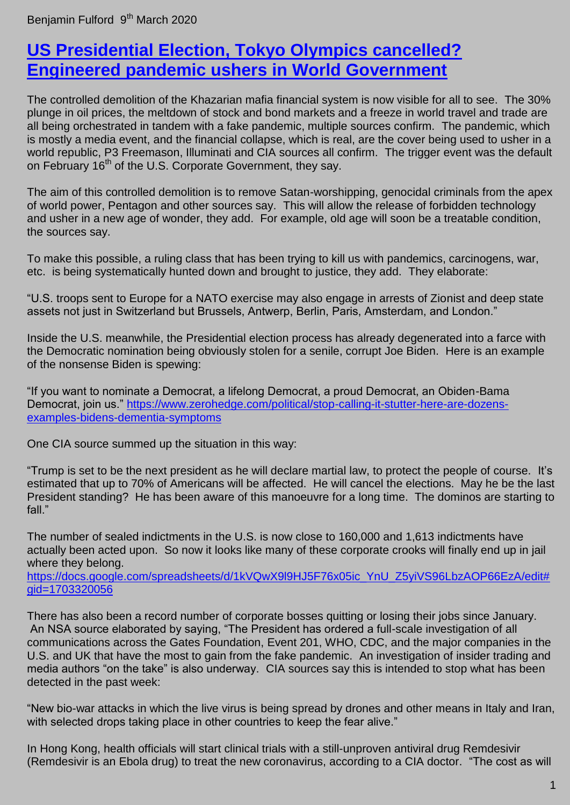Benjamin Fulford 9<sup>th</sup> March 2020

## **[US Presidential Election, Tokyo Olympics cancelled?](https://benjaminfulford.net/2020/03/09/us-presidential-election-tokyo-olympics-cancelled-as-fake-pandemic-ushers-in-world-government/)  [Engineered pandemic ushers in World Government](https://benjaminfulford.net/2020/03/09/us-presidential-election-tokyo-olympics-cancelled-as-fake-pandemic-ushers-in-world-government/)**

The controlled demolition of the Khazarian mafia financial system is now visible for all to see. The 30% plunge in oil prices, the meltdown of stock and bond markets and a freeze in world travel and trade are all being orchestrated in tandem with a fake pandemic, multiple sources confirm. The pandemic, which is mostly a media event, and the financial collapse, which is real, are the cover being used to usher in a world republic, P3 Freemason, Illuminati and CIA sources all confirm. The trigger event was the default on February 16<sup>th</sup> of the U.S. Corporate Government, they say.

The aim of this controlled demolition is to remove Satan-worshipping, genocidal criminals from the apex of world power, Pentagon and other sources say. This will allow the release of forbidden technology and usher in a new age of wonder, they add. For example, old age will soon be a treatable condition, the sources say.

To make this possible, a ruling class that has been trying to kill us with pandemics, carcinogens, war, etc. is being systematically hunted down and brought to justice, they add. They elaborate:

"U.S. troops sent to Europe for a NATO exercise may also engage in arrests of Zionist and deep state assets not just in Switzerland but Brussels, Antwerp, Berlin, Paris, Amsterdam, and London."

Inside the U.S. meanwhile, the Presidential election process has already degenerated into a farce with the Democratic nomination being obviously stolen for a senile, corrupt Joe Biden. Here is an example of the nonsense Biden is spewing:

"If you want to nominate a Democrat, a lifelong Democrat, a proud Democrat, an Obiden-Bama Democrat, join us." [https://www.zerohedge.com/political/stop-calling-it-stutter-here-are-dozens](https://www.zerohedge.com/political/stop-calling-it-stutter-here-are-dozens-examples-bidens-dementia-symptoms)[examples-bidens-dementia-symptoms](https://www.zerohedge.com/political/stop-calling-it-stutter-here-are-dozens-examples-bidens-dementia-symptoms)

One CIA source summed up the situation in this way:

"Trump is set to be the next president as he will declare martial law, to protect the people of course. It's estimated that up to 70% of Americans will be affected. He will cancel the elections. May he be the last President standing? He has been aware of this manoeuvre for a long time. The dominos are starting to fall<sup>"</sup>

The number of sealed indictments in the U.S. is now close to 160,000 and 1,613 indictments have actually been acted upon. So now it looks like many of these corporate crooks will finally end up in jail where they belong.

[https://docs.google.com/spreadsheets/d/1kVQwX9l9HJ5F76x05ic\\_YnU\\_Z5yiVS96LbzAOP66EzA/edit#](https://docs.google.com/spreadsheets/d/1kVQwX9l9HJ5F76x05ic_YnU_Z5yiVS96LbzAOP66EzA/edit#gid=1703320056) [gid=1703320056](https://docs.google.com/spreadsheets/d/1kVQwX9l9HJ5F76x05ic_YnU_Z5yiVS96LbzAOP66EzA/edit#gid=1703320056)

There has also been a record number of corporate bosses quitting or losing their jobs since January. An NSA source elaborated by saying, "The President has ordered a full-scale investigation of all communications across the Gates Foundation, Event 201, WHO, CDC, and the major companies in the U.S. and UK that have the most to gain from the fake pandemic. An investigation of insider trading and media authors "on the take" is also underway. CIA sources say this is intended to stop what has been detected in the past week:

"New bio-war attacks in which the live virus is being spread by drones and other means in Italy and Iran, with selected drops taking place in other countries to keep the fear alive."

In Hong Kong, health officials will start clinical trials with a still-unproven antiviral drug Remdesivir (Remdesivir is an Ebola drug) to treat the new coronavirus, according to a CIA doctor. "The cost as will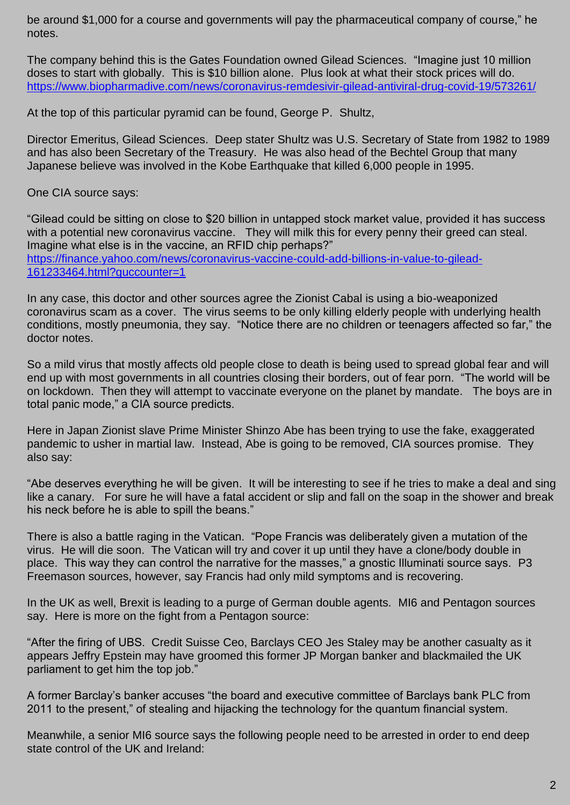be around \$1,000 for a course and governments will pay the pharmaceutical company of course," he notes.

The company behind this is the Gates Foundation owned Gilead Sciences. "Imagine just 10 million doses to start with globally. This is \$10 billion alone. Plus look at what their stock prices will do. <https://www.biopharmadive.com/news/coronavirus-remdesivir-gilead-antiviral-drug-covid-19/573261/>

At the top of this particular pyramid can be found, George P. Shultz,

Director Emeritus, Gilead Sciences. Deep stater Shultz was U.S. Secretary of State from 1982 to 1989 and has also been Secretary of the Treasury. He was also head of the Bechtel Group that many Japanese believe was involved in the Kobe Earthquake that killed 6,000 people in 1995.

One CIA source says:

"Gilead could be sitting on close to \$20 billion in untapped stock market value, provided it has success with a potential new coronavirus vaccine. They will milk this for every penny their greed can steal. Imagine what else is in the vaccine, an RFID chip perhaps?" [https://finance.yahoo.com/news/coronavirus-vaccine-could-add-billions-in-value-to-gilead-](https://finance.yahoo.com/news/coronavirus-vaccine-could-add-billions-in-value-to-gilead-161233464.html?guccounter=1)[161233464.html?guccounter=1](https://finance.yahoo.com/news/coronavirus-vaccine-could-add-billions-in-value-to-gilead-161233464.html?guccounter=1)

In any case, this doctor and other sources agree the Zionist Cabal is using a bio-weaponized coronavirus scam as a cover. The virus seems to be only killing elderly people with underlying health conditions, mostly pneumonia, they say. "Notice there are no children or teenagers affected so far," the doctor notes.

So a mild virus that mostly affects old people close to death is being used to spread global fear and will end up with most governments in all countries closing their borders, out of fear porn. "The world will be on lockdown. Then they will attempt to vaccinate everyone on the planet by mandate. The boys are in total panic mode," a CIA source predicts.

Here in Japan Zionist slave Prime Minister Shinzo Abe has been trying to use the fake, exaggerated pandemic to usher in martial law. Instead, Abe is going to be removed, CIA sources promise. They also say:

"Abe deserves everything he will be given. It will be interesting to see if he tries to make a deal and sing like a canary. For sure he will have a fatal accident or slip and fall on the soap in the shower and break his neck before he is able to spill the beans."

There is also a battle raging in the Vatican. "Pope Francis was deliberately given a mutation of the virus. He will die soon. The Vatican will try and cover it up until they have a clone/body double in place. This way they can control the narrative for the masses," a gnostic Illuminati source says. P3 Freemason sources, however, say Francis had only mild symptoms and is recovering.

In the UK as well, Brexit is leading to a purge of German double agents. MI6 and Pentagon sources say. Here is more on the fight from a Pentagon source:

"After the firing of UBS. Credit Suisse Ceo, Barclays CEO Jes Staley may be another casualty as it appears Jeffry Epstein may have groomed this former JP Morgan banker and blackmailed the UK parliament to get him the top job."

A former Barclay's banker accuses "the board and executive committee of Barclays bank PLC from 2011 to the present," of stealing and hijacking the technology for the quantum financial system.

Meanwhile, a senior MI6 source says the following people need to be arrested in order to end deep state control of the UK and Ireland: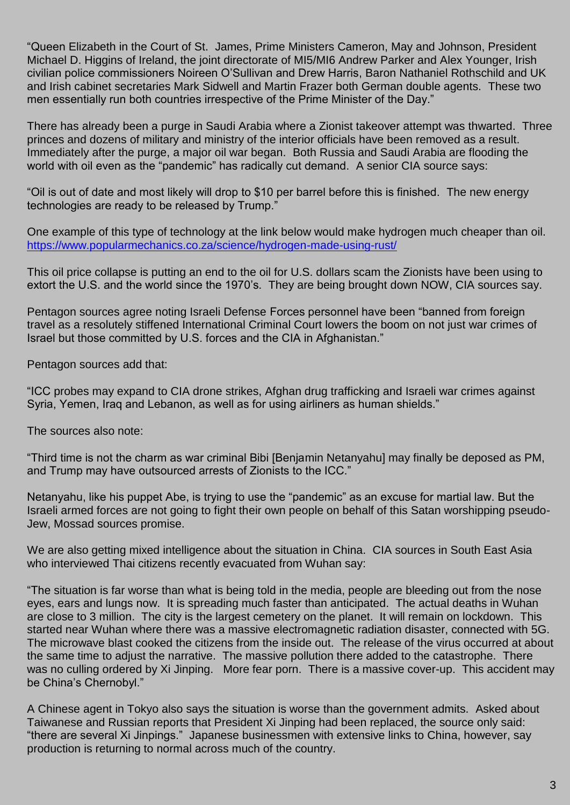"Queen Elizabeth in the Court of St. James, Prime Ministers Cameron, May and Johnson, President Michael D. Higgins of Ireland, the joint directorate of MI5/MI6 Andrew Parker and Alex Younger, Irish civilian police commissioners Noireen O'Sullivan and Drew Harris, Baron Nathaniel Rothschild and UK and Irish cabinet secretaries Mark Sidwell and Martin Frazer both German double agents. These two men essentially run both countries irrespective of the Prime Minister of the Day."

There has already been a purge in Saudi Arabia where a Zionist takeover attempt was thwarted. Three princes and dozens of military and ministry of the interior officials have been removed as a result. Immediately after the purge, a major oil war began. Both Russia and Saudi Arabia are flooding the world with oil even as the "pandemic" has radically cut demand. A senior CIA source says:

"Oil is out of date and most likely will drop to \$10 per barrel before this is finished. The new energy technologies are ready to be released by Trump."

One example of this type of technology at the link below would make hydrogen much cheaper than oil. <https://www.popularmechanics.co.za/science/hydrogen-made-using-rust/>

This oil price collapse is putting an end to the oil for U.S. dollars scam the Zionists have been using to extort the U.S. and the world since the 1970's. They are being brought down NOW, CIA sources say.

Pentagon sources agree noting Israeli Defense Forces personnel have been "banned from foreign travel as a resolutely stiffened International Criminal Court lowers the boom on not just war crimes of Israel but those committed by U.S. forces and the CIA in Afghanistan."

Pentagon sources add that:

"ICC probes may expand to CIA drone strikes, Afghan drug trafficking and Israeli war crimes against Syria, Yemen, Iraq and Lebanon, as well as for using airliners as human shields."

The sources also note:

"Third time is not the charm as war criminal Bibi [Benjamin Netanyahu] may finally be deposed as PM, and Trump may have outsourced arrests of Zionists to the ICC."

Netanyahu, like his puppet Abe, is trying to use the "pandemic" as an excuse for martial law. But the Israeli armed forces are not going to fight their own people on behalf of this Satan worshipping pseudo-Jew, Mossad sources promise.

We are also getting mixed intelligence about the situation in China. CIA sources in South East Asia who interviewed Thai citizens recently evacuated from Wuhan say:

"The situation is far worse than what is being told in the media, people are bleeding out from the nose eyes, ears and lungs now. It is spreading much faster than anticipated. The actual deaths in Wuhan are close to 3 million. The city is the largest cemetery on the planet. It will remain on lockdown. This started near Wuhan where there was a massive electromagnetic radiation disaster, connected with 5G. The microwave blast cooked the citizens from the inside out. The release of the virus occurred at about the same time to adjust the narrative. The massive pollution there added to the catastrophe. There was no culling ordered by Xi Jinping. More fear porn. There is a massive cover-up. This accident may be China's Chernobyl."

A Chinese agent in Tokyo also says the situation is worse than the government admits. Asked about Taiwanese and Russian reports that President Xi Jinping had been replaced, the source only said: "there are several Xi Jinpings." Japanese businessmen with extensive links to China, however, say production is returning to normal across much of the country.